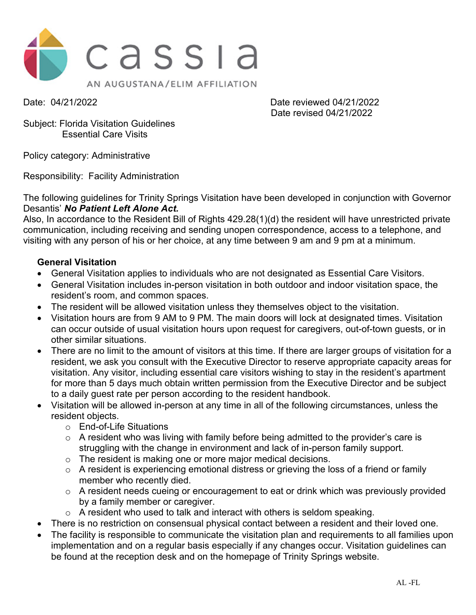

Date: 04/21/2022 Date reviewed 04/21/2022 Date revised 04/21/2022

Subject: Florida Visitation Guidelines Essential Care Visits

Policy category: Administrative

Responsibility: Facility Administration

The following guidelines for Trinity Springs Visitation have been developed in conjunction with Governor Desantis' *No Patient Left Alone Act.*

Also, In accordance to the Resident Bill of Rights 429.28(1)(d) the resident will have unrestricted private communication, including receiving and sending unopen correspondence, access to a telephone, and visiting with any person of his or her choice, at any time between 9 am and 9 pm at a minimum.

### **General Visitation**

- General Visitation applies to individuals who are not designated as Essential Care Visitors.
- General Visitation includes in-person visitation in both outdoor and indoor visitation space, the resident's room, and common spaces.
- The resident will be allowed visitation unless they themselves object to the visitation.
- Visitation hours are from 9 AM to 9 PM. The main doors will lock at designated times. Visitation can occur outside of usual visitation hours upon request for caregivers, out-of-town guests, or in other similar situations.
- There are no limit to the amount of visitors at this time. If there are larger groups of visitation for a resident, we ask you consult with the Executive Director to reserve appropriate capacity areas for visitation. Any visitor, including essential care visitors wishing to stay in the resident's apartment for more than 5 days much obtain written permission from the Executive Director and be subject to a daily guest rate per person according to the resident handbook.
- Visitation will be allowed in-person at any time in all of the following circumstances, unless the resident objects.
	- o End-of-Life Situations
	- o A resident who was living with family before being admitted to the provider's care is struggling with the change in environment and lack of in-person family support.
	- o The resident is making one or more major medical decisions.
	- o A resident is experiencing emotional distress or grieving the loss of a friend or family member who recently died.
	- o A resident needs cueing or encouragement to eat or drink which was previously provided by a family member or caregiver.
	- o A resident who used to talk and interact with others is seldom speaking.
- There is no restriction on consensual physical contact between a resident and their loved one.
- The facility is responsible to communicate the visitation plan and requirements to all families upon implementation and on a regular basis especially if any changes occur. Visitation guidelines can be found at the reception desk and on the homepage of Trinity Springs website.